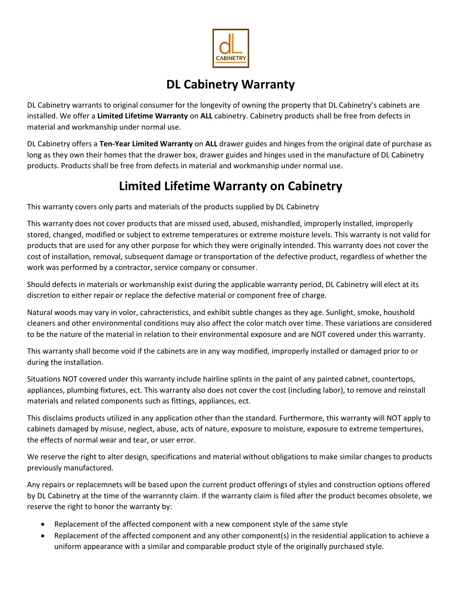

## DL Cabinetry Warranty

DL Cabinetry warrants to original consumer for the longevity of owning the property that DL Cabinetry's cabinets are installed. We offer a Limited Lifetime Warranty on ALL cabinetry. Cabinetry products shall be free from defects in material and workmanship under normal use.

DL Cabinetry offers a Ten-Year Limited Warranty on ALL drawer guides and hinges from the original date of purchase as long as they own their homes that the drawer box, drawer guides and hinges used in the manufacture of DL Cabinetry products. Products shall be free from defects in material and workmanship under normal use.

## Limited Lifetime Warranty on Cabinetry

This warranty covers only parts and materials of the products supplied by DL Cabinetry

This warranty does not cover products that are missed used, abused, mishandled, improperly installed, improperly stored, changed, modified or subject to extreme temperatures or extreme moisture levels. This warranty is not valid for products that are used for any other purpose for which they were originally intended. This warranty does not cover the cost of installation, removal, subsequent damage or transportation of the defective product, regardless of whether the work was performed by a contractor, service company or consumer.

Should defects in materials or workmanship exist during the applicable warranty period, DL Cabinetry will elect at its discretion to either repair or replace the defective material or component free of charge.

Natural woods may vary in volor, cahracteristics, and exhibit subtle changes as they age. Sunlight, smoke, houshold cleaners and other environmental conditions may also affect the color match over time. These variations are considered to be the nature of the material in relation to their environmental exposure and are NOT covered under this warranty.

This warranty shall become void if the cabinets are in any way modified, improperly installed or damaged prior to or during the installation.

Situations NOT covered under this warranty include hairline splints in the paint of any painted cabnet, countertops, appliances, plumbing fixtures, ect. This warranty also does not cover the cost (including labor), to remove and reinstall materials and related components such as fittings, appliances, ect.

This disclaims products utilized in any application other than the standard. Furthermore, this warranty will NOT apply to cabinets damaged by misuse, neglect, abuse, acts of nature, exposure to moisture, exposure to extreme tempertures, the effects of normal wear and tear, or user error.

We reserve the right to alter design, specifications and material without obligations to make similar changes to products previously manufactured.

Any repairs or replacemnets will be based upon the current product offerings of styles and construction options offered by DL Cabinetry at the time of the warrannty claim. If the warranty claim is filed after the product becomes obsolete, we reserve the right to honor the warranty by:

- Replacement of the affected component with a new component style of the same style
- Replacement of the affected component and any other component(s) in the residential application to achieve a uniform appearance with a similar and comparable product style of the originally purchased style.